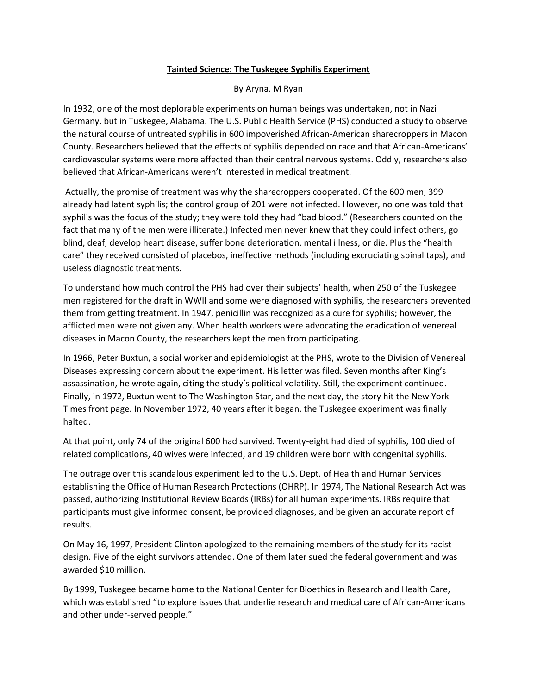## **Tainted Science: The Tuskegee Syphilis Experiment**

## By Aryna. M Ryan

In 1932, one of the most deplorable experiments on human beings was undertaken, not in Nazi Germany, but in Tuskegee, Alabama. The U.S. Public Health Service (PHS) conducted a study to observe the natural course of untreated syphilis in 600 impoverished African-American sharecroppers in Macon County. Researchers believed that the effects of syphilis depended on race and that African-Americans' cardiovascular systems were more affected than their central nervous systems. Oddly, researchers also believed that African-Americans weren't interested in medical treatment.

Actually, the promise of treatment was why the sharecroppers cooperated. Of the 600 men, 399 already had latent syphilis; the control group of 201 were not infected. However, no one was told that syphilis was the focus of the study; they were told they had "bad blood." (Researchers counted on the fact that many of the men were illiterate.) Infected men never knew that they could infect others, go blind, deaf, develop heart disease, suffer bone deterioration, mental illness, or die. Plus the "health care" they received consisted of placebos, ineffective methods (including excruciating spinal taps), and useless diagnostic treatments.

To understand how much control the PHS had over their subjects' health, when 250 of the Tuskegee men registered for the draft in WWII and some were diagnosed with syphilis, the researchers prevented them from getting treatment. In 1947, penicillin was recognized as a cure for syphilis; however, the afflicted men were not given any. When health workers were advocating the eradication of venereal diseases in Macon County, the researchers kept the men from participating.

In 1966, Peter Buxtun, a social worker and epidemiologist at the PHS, wrote to the Division of Venereal Diseases expressing concern about the experiment. His letter was filed. Seven months after King's assassination, he wrote again, citing the study's political volatility. Still, the experiment continued. Finally, in 1972, Buxtun went to The Washington Star, and the next day, the story hit the New York Times front page. In November 1972, 40 years after it began, the Tuskegee experiment was finally halted.

At that point, only 74 of the original 600 had survived. Twenty-eight had died of syphilis, 100 died of related complications, 40 wives were infected, and 19 children were born with congenital syphilis.

The outrage over this scandalous experiment led to the U.S. Dept. of Health and Human Services establishing the Office of Human Research Protections (OHRP). In 1974, The National Research Act was passed, authorizing Institutional Review Boards (IRBs) for all human experiments. IRBs require that participants must give informed consent, be provided diagnoses, and be given an accurate report of results.

On May 16, 1997, President Clinton apologized to the remaining members of the study for its racist design. Five of the eight survivors attended. One of them later sued the federal government and was awarded \$10 million.

By 1999, Tuskegee became home to the National Center for Bioethics in Research and Health Care, which was established "to explore issues that underlie research and medical care of African-Americans and other under-served people."